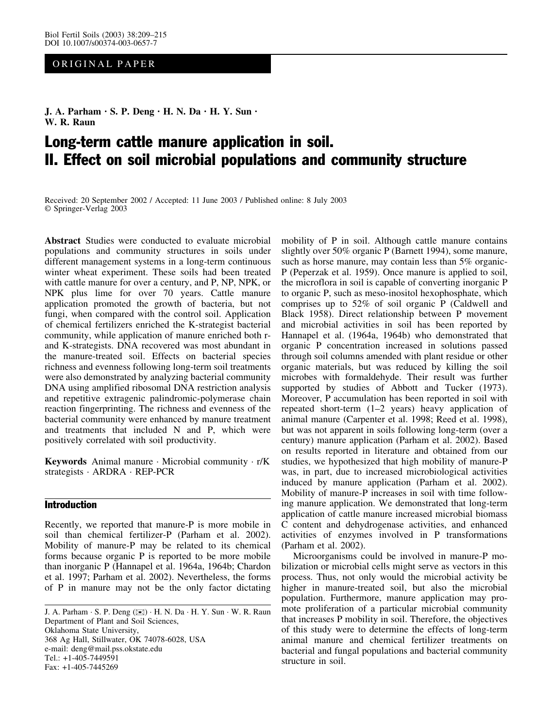## ORIGINAL PAPER

J. A. Parham · S. P. Deng · H. N. Da · H. Y. Sun · W. R. Raun

# Long-term cattle manure application in soil. II. Effect on soil microbial populations and community structure

Received: 20 September 2002 / Accepted: 11 June 2003 / Published online: 8 July 2003 Springer-Verlag 2003

Abstract Studies were conducted to evaluate microbial populations and community structures in soils under different management systems in a long-term continuous winter wheat experiment. These soils had been treated with cattle manure for over a century, and P, NP, NPK, or NPK plus lime for over 70 years. Cattle manure application promoted the growth of bacteria, but not fungi, when compared with the control soil. Application of chemical fertilizers enriched the K-strategist bacterial community, while application of manure enriched both rand K-strategists. DNA recovered was most abundant in the manure-treated soil. Effects on bacterial species richness and evenness following long-term soil treatments were also demonstrated by analyzing bacterial community DNA using amplified ribosomal DNA restriction analysis and repetitive extragenic palindromic-polymerase chain reaction fingerprinting. The richness and evenness of the bacterial community were enhanced by manure treatment and treatments that included N and P, which were positively correlated with soil productivity.

Keywords Animal manure · Microbial community · r/K strategists · ARDRA · REP-PCR

## Introduction

Recently, we reported that manure-P is more mobile in soil than chemical fertilizer-P (Parham et al. 2002). Mobility of manure-P may be related to its chemical forms because organic P is reported to be more mobile than inorganic P (Hannapel et al. 1964a, 1964b; Chardon et al. 1997; Parham et al. 2002). Nevertheless, the forms of P in manure may not be the only factor dictating mobility of P in soil. Although cattle manure contains slightly over 50% organic P (Barnett 1994), some manure, such as horse manure, may contain less than 5% organic-P (Peperzak et al. 1959). Once manure is applied to soil, the microflora in soil is capable of converting inorganic P to organic P, such as meso-inositol hexophosphate, which comprises up to 52% of soil organic P (Caldwell and Black 1958). Direct relationship between P movement and microbial activities in soil has been reported by Hannapel et al. (1964a, 1964b) who demonstrated that organic P concentration increased in solutions passed through soil columns amended with plant residue or other organic materials, but was reduced by killing the soil microbes with formaldehyde. Their result was further supported by studies of Abbott and Tucker (1973). Moreover, P accumulation has been reported in soil with repeated short-term (1–2 years) heavy application of animal manure (Carpenter et al. 1998; Reed et al. 1998), but was not apparent in soils following long-term (over a century) manure application (Parham et al. 2002). Based on results reported in literature and obtained from our studies, we hypothesized that high mobility of manure-P was, in part, due to increased microbiological activities induced by manure application (Parham et al. 2002). Mobility of manure-P increases in soil with time following manure application. We demonstrated that long-term application of cattle manure increased microbial biomass C content and dehydrogenase activities, and enhanced activities of enzymes involved in P transformations (Parham et al. 2002).

Microorganisms could be involved in manure-P mobilization or microbial cells might serve as vectors in this process. Thus, not only would the microbial activity be higher in manure-treated soil, but also the microbial population. Furthermore, manure application may promote proliferation of a particular microbial community that increases P mobility in soil. Therefore, the objectives of this study were to determine the effects of long-term animal manure and chemical fertilizer treatments on bacterial and fungal populations and bacterial community structure in soil.

J. A. Parham · S. P. Deng ( $\boxtimes$ ) · H. N. Da · H. Y. Sun · W. R. Raun Department of Plant and Soil Sciences, Oklahoma State University, 368 Ag Hall, Stillwater, OK 74078-6028, USA e-mail: deng@mail.pss.okstate.edu Tel.: +1-405-7449591 Fax: +1-405-7445269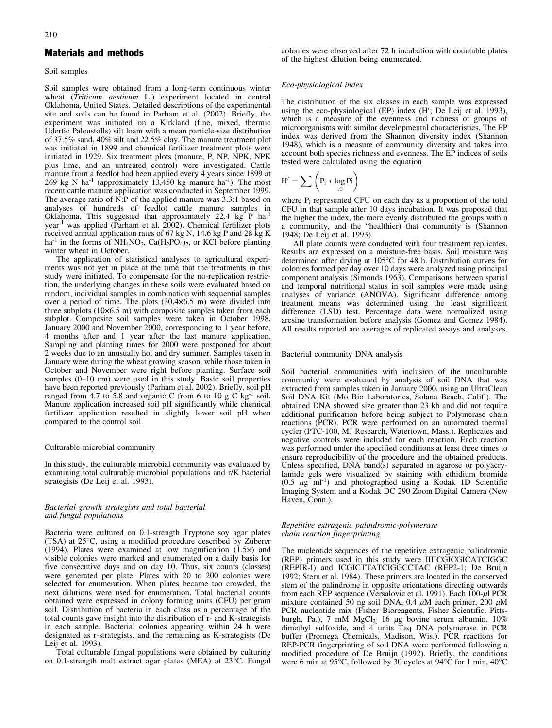## Materials and methods

#### Soil samples

Soil samples were obtained from a long-term continuous winter wheat (Triticum aestivum L.) experiment located in central Oklahoma, United States. Detailed descriptions of the experimental site and soils can be found in Parham et al. (2002). Briefly, the experiment was initiated on a Kirkland (fine, mixed, thermic Udertic Paleustolls) silt loam with a mean particle-size distribution of 37.5% sand, 40% silt and 22.5% clay. The manure treatment plot was initiated in 1899 and chemical fertilizer treatment plots were initiated in 1929. Six treatment plots (manure, P, NP, NPK, NPK plus lime, and an untreated control) were investigated. Cattle manure from a feedlot had been applied every 4 years since 1899 at 269 kg N ha<sup>-1</sup> (approximately 13,450 kg manure ha<sup>-1</sup>). The most recent cattle manure application was conducted in September 1999. The average ratio of N:P of the applied manure was 3.3:1 based on analyses of hundreds of feedlot cattle manure samples in Oklahoma. This suggested that approximately 22.4 kg P ha<sup>-1</sup> year-1 was applied (Parham et al. 2002). Chemical fertilizer plots received annual application rates of 67 kg N, 14.6 kg P and 28 kg K ha<sup>-1</sup> in the forms of NH<sub>4</sub>NO<sub>3</sub>, Ca(H<sub>2</sub>PO<sub>4</sub>)<sub>2</sub>, or KCl before planting winter wheat in October.

The application of statistical analyses to agricultural experiments was not yet in place at the time that the treatments in this study were initiated. To compensate for the no-replication restriction, the underlying changes in these soils were evaluated based on random, individual samples in combination with sequential samples over a period of time. The plots (30.4×6.5 m) were divided into three subplots  $(10\times6.5 \text{ m})$  with composite samples taken from each subplot. Composite soil samples were taken in October 1998, January 2000 and November 2000, corresponding to 1 year before, 4 months after and 1 year after the last manure application. Sampling and planting times for 2000 were postponed for about 2 weeks due to an unusually hot and dry summer. Samples taken in January were during the wheat growing season, while those taken in October and November were right before planting. Surface soil samples (0–10 cm) were used in this study. Basic soil properties have been reported previously (Parham et al. 2002). Briefly, soil pH ranged from 4.7 to 5.8 and organic C from 6 to 10 g C  $kg^{-1}$  soil. Manure application increased soil pH significantly while chemical fertilizer application resulted in slightly lower soil pH when compared to the control soil.

#### Culturable microbial community

In this study, the culturable microbial community was evaluated by examining total culturable microbial populations and r/K bacterial strategists (De Leij et al. 1993).

#### Bacterial growth strategists and total bacterial and fungal populations

Bacteria were cultured on 0.1-strength Tryptone soy agar plates (TSA) at 25°C, using a modified procedure described by Zuberer (1994). Plates were examined at low magnification  $(1.5x)$  and visible colonies were marked and enumerated on a daily basis for five consecutive days and on day 10. Thus, six counts (classes) were generated per plate. Plates with 20 to 200 colonies were selected for enumeration. When plates became too crowded, the next dilutions were used for enumeration. Total bacterial counts obtained were expressed in colony forming units (CFU) per gram soil. Distribution of bacteria in each class as a percentage of the total counts gave insight into the distribution of r- and K-strategists in each sample. Bacterial colonies appearing within 24 h were designated as r-strategists, and the remaining as K-strategists (De Leij et al. 1993).

Total culturable fungal populations were obtained by culturing on 0.1-strength malt extract agar plates (MEA) at  $23^{\circ}$ C. Fungal colonies were observed after 72 h incubation with countable plates of the highest dilution being enumerated.

#### Eco-physiological index

The distribution of the six classes in each sample was expressed using the eco-physiological (EP) index  $(H', De$  Leij et al. 1993), which is a measure of the evenness and richness of groups of microorganisms with similar developmental characteristics. The EP index was derived from the Shannon diversity index (Shannon 1948), which is a measure of community diversity and takes into account both species richness and evenness. The EP indices of soils tested were calculated using the equation

$$
H' = \sum \left( P_i * \log_{10} Pi \right)
$$

where  $P_i$  represented CFU on each day as a proportion of the total CFU in that sample after 10 days incubation. It was proposed that the higher the index, the more evenly distributed the groups within a community, and the "healthier) that community is (Shannon 1948; De Leij et al. 1993).

All plate counts were conducted with four treatment replicates. Results are expressed on a moisture-free basis. Soil moisture was determined after drying at 105°C for 48 h. Distribution curves for colonies formed per day over 10 days were analyzed using principal component analysis (Simonds 1963). Comparisons between spatial and temporal nutritional status in soil samples were made using analyses of variance (ANOVA). Significant difference among treatment means was determined using the least significant difference (LSD) test. Percentage data were normalized using arcsine transformation before analysis (Gomez and Gomez 1984). All results reported are averages of replicated assays and analyses.

#### Bacterial community DNA analysis

Soil bacterial communities with inclusion of the unculturable community were evaluated by analysis of soil DNA that was extracted from samples taken in January 2000, using an UltraClean Soil DNA Kit (Mo Bio Laboratories, Solana Beach, Calif.). The obtained DNA showed size greater than 23 kb and did not require additional purification before being subject to Polymerase chain reactions (PCR). PCR were performed on an automated thermal cycler (PTC-100, MJ Research, Watertown, Mass.). Replicates and negative controls were included for each reaction. Each reaction was performed under the specified conditions at least three times to ensure reproducibility of the procedure and the obtained products. Unless specified, DNA band(s) separated in agarose or polyacrylamide gels were visualized by staining with ethidium bromide  $(0.5 \mu g \text{ ml}^{-1})$  and photographed using a Kodak 1D Scientific Imaging System and a Kodak DC 290 Zoom Digital Camera (New Haven, Conn.).

#### Repetitive extragenic palindromic-polymerase chain reaction fingerprinting

The nucleotide sequences of the repetitive extragenic palindromic (REP) primers used in this study were IIIICGICGICATCIGGC (REPIR-I) and ICGICTTATCIGGCCTAC (REP2-1; De Bruijn 1992; Stern et al. 1984). These primers are located in the conserved stem of the palindrome in opposite orientations directing outwards from each REP sequence (Versalovic et al. 1991). Each  $100-\mu$ l PCR mixture contained 50 ng soil DNA, 0.4  $\mu$ M each primer, 200  $\mu$ M PCR nucleotide mix (Fisher Bioreagents, Fisher Scientific, Pittsburgh, Pa.), 7 mM  $MgCl<sub>2</sub>$ , 16 µg bovine serum albumin, 10% dimethyl sulfoxide, and 4 units Taq DNA polymerase in PCR buffer (Promega Chemicals, Madison, Wis.). PCR reactions for REP-PCR fingerprinting of soil DNA were performed following a modified procedure of De Bruijn (1992). Briefly, the conditions were 6 min at 95°C, followed by 30 cycles at 94°C for 1 min, 40°C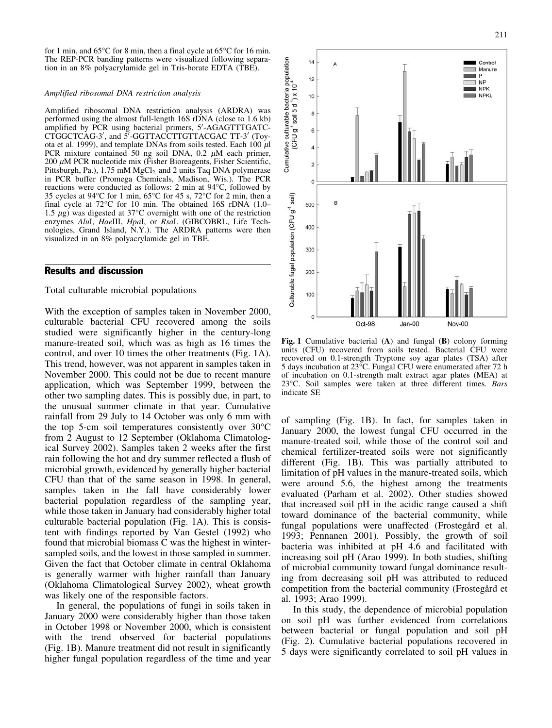for 1 min, and  $65^{\circ}$ C for 8 min, then a final cycle at  $65^{\circ}$ C for 16 min. The REP-PCR banding patterns were visualized following separation in an 8% polyacrylamide gel in Tris-borate EDTA (TBE).

#### Amplified ribosomal DNA restriction analysis

Amplified ribosomal DNA restriction analysis (ARDRA) was performed using the almost full-length 16S rDNA (close to 1.6 kb) amplified by PCR using bacterial primers, 5'-AGAGTTTGATC-CTGGCTCAG-3', and 5'-GGTTACCTTGTTACGAC TT-3' (Toyota et al. 1999), and template DNAs from soils tested. Each 100  $\mu$ l PCR mixture contained 50 ng soil DNA,  $0.2 \mu M$  each primer,  $200 \mu$ M PCR nucleotide mix (Fisher Bioreagents, Fisher Scientific, Pittsburgh, Pa.), 1.75 mM MgCl<sub>2,</sub> and 2 units Taq DNA polymerase in PCR buffer (Promega Chemicals, Madison, Wis.). The PCR reactions were conducted as follows: 2 min at 94°C, followed by 35 cycles at 94 $\rm ^{o}C$  for 1 min, 65 $\rm ^{o}C$  for 45 s, 72 $\rm ^{o}C$  for 2 min, then a final cycle at  $72^{\circ}$ C for 10 min. The obtained 16S rDNA (1.0– 1.5  $\mu$ g) was digested at 37°C overnight with one of the restriction enzymes AluI, HaeIII, HpaI, or RsaI. (GIBCOBRL, Life Technologies, Grand Island, N.Y.). The ARDRA patterns were then visualized in an 8% polyacrylamide gel in TBE.

## Results and discussion

#### Total culturable microbial populations

With the exception of samples taken in November 2000, culturable bacterial CFU recovered among the soils studied were significantly higher in the century-long manure-treated soil, which was as high as 16 times the control, and over 10 times the other treatments (Fig. 1A). This trend, however, was not apparent in samples taken in November 2000. This could not be due to recent manure application, which was September 1999, between the other two sampling dates. This is possibly due, in part, to the unusual summer climate in that year. Cumulative rainfall from 29 July to 14 October was only 6 mm with the top 5-cm soil temperatures consistently over  $30^{\circ}$ C from 2 August to 12 September (Oklahoma Climatological Survey 2002). Samples taken 2 weeks after the first rain following the hot and dry summer reflected a flush of microbial growth, evidenced by generally higher bacterial CFU than that of the same season in 1998. In general, samples taken in the fall have considerably lower bacterial population regardless of the sampling year, while those taken in January had considerably higher total culturable bacterial population (Fig. 1A). This is consistent with findings reported by Van Gestel (1992) who found that microbial biomass C was the highest in wintersampled soils, and the lowest in those sampled in summer. Given the fact that October climate in central Oklahoma is generally warmer with higher rainfall than January (Oklahoma Climatological Survey 2002), wheat growth was likely one of the responsible factors.

In general, the populations of fungi in soils taken in January 2000 were considerably higher than those taken in October 1998 or November 2000, which is consistent with the trend observed for bacterial populations (Fig. 1B). Manure treatment did not result in significantly higher fungal population regardless of the time and year



Fig. 1 Cumulative bacterial (A) and fungal (B) colony forming units (CFU) recovered from soils tested. Bacterial CFU were recovered on 0.1-strength Tryptone soy agar plates (TSA) after 5 days incubation at  $23^{\circ}$ C. Fungal CFU were enumerated after 72 h of incubation on 0.1-strength malt extract agar plates (MEA) at 23°C. Soil samples were taken at three different times. Bars indicate SE

of sampling (Fig. 1B). In fact, for samples taken in January 2000, the lowest fungal CFU occurred in the manure-treated soil, while those of the control soil and chemical fertilizer-treated soils were not significantly different (Fig. 1B). This was partially attributed to limitation of pH values in the manure-treated soils, which were around 5.6, the highest among the treatments evaluated (Parham et al. 2002). Other studies showed that increased soil pH in the acidic range caused a shift toward dominance of the bacterial community, while fungal populations were unaffected (Frostegård et al. 1993; Pennanen 2001). Possibly, the growth of soil bacteria was inhibited at pH 4.6 and facilitated with increasing soil pH (Arao 1999). In both studies, shifting of microbial community toward fungal dominance resulting from decreasing soil pH was attributed to reduced competition from the bacterial community (Frostegård et al. 1993; Arao 1999).

In this study, the dependence of microbial population on soil pH was further evidenced from correlations between bacterial or fungal population and soil pH (Fig. 2). Cumulative bacterial populations recovered in 5 days were significantly correlated to soil pH values in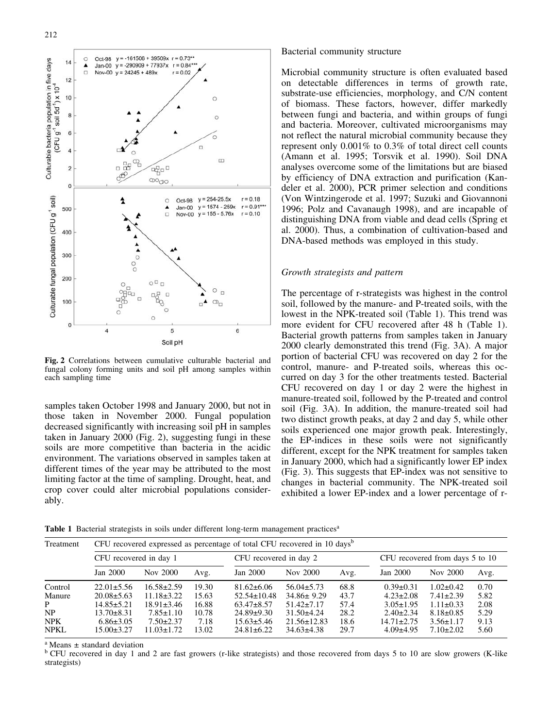

Fig. 2 Correlations between cumulative culturable bacterial and fungal colony forming units and soil pH among samples within each sampling time

samples taken October 1998 and January 2000, but not in those taken in November 2000. Fungal population decreased significantly with increasing soil pH in samples taken in January 2000 (Fig. 2), suggesting fungi in these soils are more competitive than bacteria in the acidic environment. The variations observed in samples taken at different times of the year may be attributed to the most limiting factor at the time of sampling. Drought, heat, and crop cover could alter microbial populations considerably.

Bacterial community structure

Microbial community structure is often evaluated based on detectable differences in terms of growth rate, substrate-use efficiencies, morphology, and C/N content of biomass. These factors, however, differ markedly between fungi and bacteria, and within groups of fungi and bacteria. Moreover, cultivated microorganisms may not reflect the natural microbial community because they represent only 0.001% to 0.3% of total direct cell counts (Amann et al. 1995; Torsvik et al. 1990). Soil DNA analyses overcome some of the limitations but are biased by efficiency of DNA extraction and purification (Kandeler et al. 2000), PCR primer selection and conditions (Von Wintzingerode et al. 1997; Suzuki and Giovannoni 1996; Polz and Cavanaugh 1998), and are incapable of distinguishing DNA from viable and dead cells (Spring et al. 2000). Thus, a combination of cultivation-based and DNA-based methods was employed in this study.

## Growth strategists and pattern

The percentage of r-strategists was highest in the control soil, followed by the manure- and P-treated soils, with the lowest in the NPK-treated soil (Table 1). This trend was more evident for CFU recovered after 48 h (Table 1). Bacterial growth patterns from samples taken in January 2000 clearly demonstrated this trend (Fig. 3A). A major portion of bacterial CFU was recovered on day 2 for the control, manure- and P-treated soils, whereas this occurred on day 3 for the other treatments tested. Bacterial CFU recovered on day 1 or day 2 were the highest in manure-treated soil, followed by the P-treated and control soil (Fig. 3A). In addition, the manure-treated soil had two distinct growth peaks, at day 2 and day 5, while other soils experienced one major growth peak. Interestingly, the EP-indices in these soils were not significantly different, except for the NPK treatment for samples taken in January 2000, which had a significantly lower EP index (Fig. 3). This suggests that EP-index was not sensitive to changes in bacterial community. The NPK-treated soil exhibited a lower EP-index and a lower percentage of r-

Table 1 Bacterial strategists in soils under different long-term management practices<sup>a</sup>

| Treatment   | CFU recovered expressed as percentage of total CFU recovered in 10 days <sup>b</sup> |                  |       |                        |                   |      |                                 |                 |      |
|-------------|--------------------------------------------------------------------------------------|------------------|-------|------------------------|-------------------|------|---------------------------------|-----------------|------|
|             | CFU recovered in day 1                                                               |                  |       | CFU recovered in day 2 |                   |      | CFU recovered from days 5 to 10 |                 |      |
|             | Jan 2000                                                                             | Nov 2000         | Avg.  | Jan 2000               | Nov 2000          | Avg. | Jan 2000                        | Nov 2000        | Avg. |
| Control     | $22.01 \pm 5.56$                                                                     | $16.58 \pm 2.59$ | 19.30 | $81.62\pm 6.06$        | $56.04 \pm 5.73$  | 68.8 | $0.39 \pm 0.31$                 | $1.02 \pm 0.42$ | 0.70 |
| Manure      | $20.08 \pm 5.63$                                                                     | $11.18 \pm 3.22$ | 15.63 | $52.54 \pm 10.48$      | $34.86 \pm 9.29$  | 43.7 | $4.23 \pm 2.08$                 | $7.41 \pm 2.39$ | 5.82 |
| P           | $14.85 \pm 5.21$                                                                     | $18.91 \pm 3.46$ | 16.88 | $63.47 \pm 8.57$       | $51.42 \pm 7.17$  | 57.4 | $3.05 \pm 1.95$                 | $1.11 \pm 0.33$ | 2.08 |
| NP.         | $13.70 \pm 8.31$                                                                     | $7.85 \pm 1.10$  | 10.78 | $24.89 \pm 9.30$       | $31.50\pm4.24$    | 28.2 | $2.40 \pm 2.34$                 | $8.18 \pm 0.85$ | 5.29 |
| <b>NPK</b>  | $6.86 \pm 3.05$                                                                      | $7.50 \pm 2.37$  | 7.18  | $15.63 \pm 5.46$       | $21.56 \pm 12.83$ | 18.6 | $14.71 \pm 2.75$                | $3.56 \pm 1.17$ | 9.13 |
| <b>NPKL</b> | 15.00±3.27                                                                           | $11.03 \pm 1.72$ | 13.02 | $24.81 \pm 6.22$       | $34.63 \pm 4.38$  | 29.7 | $4.09\pm4.95$                   | $7.10\pm2.02$   | 5.60 |

 $a$  Means  $\pm$  standard deviation

<sup>b</sup> CFU recovered in day 1 and 2 are fast growers (r-like strategists) and those recovered from days 5 to 10 are slow growers (K-like strategists)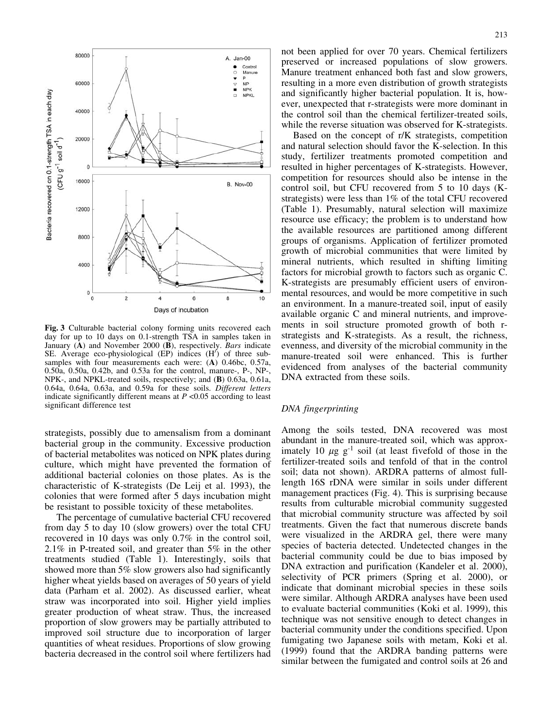

Fig. 3 Culturable bacterial colony forming units recovered each day for up to 10 days on 0.1-strength TSA in samples taken in January  $(\hat{A})$  and November 2000  $(\hat{B})$ , respectively. Bars indicate SE. Average eco-physiological (EP) indices (H') of three subsamples with four measurements each were: (A) 0.46bc, 0.57a, 0.50a, 0.50a, 0.42b, and 0.53a for the control, manure-, P-, NP-, NPK-, and NPKL-treated soils, respectively; and (B) 0.63a, 0.61a, 0.64a, 0.64a, 0.63a, and 0.59a for these soils. Different letters indicate significantly different means at  $P \le 0.05$  according to least significant difference test

strategists, possibly due to amensalism from a dominant bacterial group in the community. Excessive production of bacterial metabolites was noticed on NPK plates during culture, which might have prevented the formation of additional bacterial colonies on those plates. As is the characteristic of K-strategists (De Leij et al. 1993), the colonies that were formed after 5 days incubation might be resistant to possible toxicity of these metabolites.

The percentage of cumulative bacterial CFU recovered from day 5 to day 10 (slow growers) over the total CFU recovered in 10 days was only 0.7% in the control soil, 2.1% in P-treated soil, and greater than 5% in the other treatments studied (Table 1). Interestingly, soils that showed more than 5% slow growers also had significantly higher wheat yields based on averages of 50 years of yield data (Parham et al. 2002). As discussed earlier, wheat straw was incorporated into soil. Higher yield implies greater production of wheat straw. Thus, the increased proportion of slow growers may be partially attributed to improved soil structure due to incorporation of larger quantities of wheat residues. Proportions of slow growing bacteria decreased in the control soil where fertilizers had

not been applied for over 70 years. Chemical fertilizers preserved or increased populations of slow growers. Manure treatment enhanced both fast and slow growers, resulting in a more even distribution of growth strategists and significantly higher bacterial population. It is, however, unexpected that r-strategists were more dominant in the control soil than the chemical fertilizer-treated soils, while the reverse situation was observed for K-strategists.

Based on the concept of r/K strategists, competition and natural selection should favor the K-selection. In this study, fertilizer treatments promoted competition and resulted in higher percentages of K-strategists. However, competition for resources should also be intense in the control soil, but CFU recovered from 5 to 10 days (Kstrategists) were less than 1% of the total CFU recovered (Table 1). Presumably, natural selection will maximize resource use efficacy; the problem is to understand how the available resources are partitioned among different groups of organisms. Application of fertilizer promoted growth of microbial communities that were limited by mineral nutrients, which resulted in shifting limiting factors for microbial growth to factors such as organic C. K-strategists are presumably efficient users of environmental resources, and would be more competitive in such an environment. In a manure-treated soil, input of easily available organic C and mineral nutrients, and improvements in soil structure promoted growth of both rstrategists and K-strategists. As a result, the richness, evenness, and diversity of the microbial community in the manure-treated soil were enhanced. This is further evidenced from analyses of the bacterial community DNA extracted from these soils.

## DNA fingerprinting

Among the soils tested, DNA recovered was most abundant in the manure-treated soil, which was approximately 10  $\mu$ g g<sup>-1</sup> soil (at least fivefold of those in the fertilizer-treated soils and tenfold of that in the control soil; data not shown). ARDRA patterns of almost fulllength 16S rDNA were similar in soils under different management practices (Fig. 4). This is surprising because results from culturable microbial community suggested that microbial community structure was affected by soil treatments. Given the fact that numerous discrete bands were visualized in the ARDRA gel, there were many species of bacteria detected. Undetected changes in the bacterial community could be due to bias imposed by DNA extraction and purification (Kandeler et al. 2000), selectivity of PCR primers (Spring et al. 2000), or indicate that dominant microbial species in these soils were similar. Although ARDRA analyses have been used to evaluate bacterial communities (Koki et al. 1999), this technique was not sensitive enough to detect changes in bacterial community under the conditions specified. Upon fumigating two Japanese soils with metam, Koki et al. (1999) found that the ARDRA banding patterns were similar between the fumigated and control soils at 26 and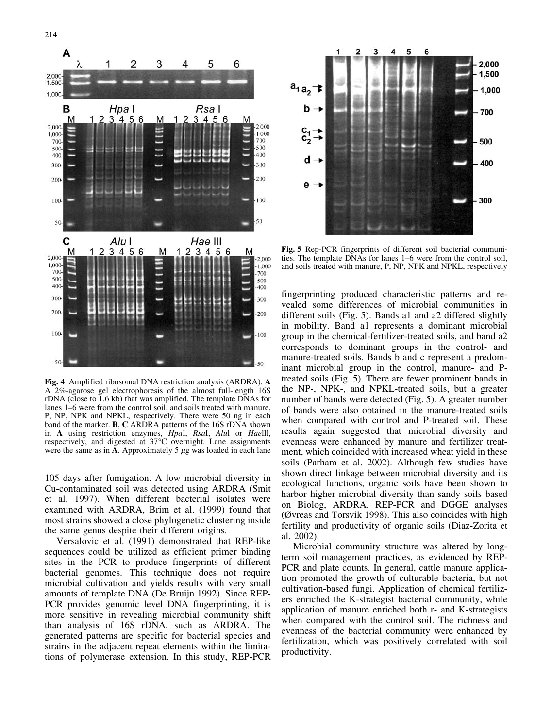

Fig. 4 Amplified ribosomal DNA restriction analysis (ARDRA). A A 2%-agarose gel electrophoresis of the almost full-length 16S rDNA (close to 1.6 kb) that was amplified. The template DNAs for lanes 1–6 were from the control soil, and soils treated with manure, P, NP, NPK and NPKL, respectively. There were 50 ng in each band of the marker. B, C ARDRA patterns of the 16S rDNA shown in A using restriction enzymes, HpaI, RsaI, Alul or Haelll, respectively, and digested at 37°C overnight. Lane assignments were the same as in A. Approximately 5  $\mu$ g was loaded in each lane

105 days after fumigation. A low microbial diversity in Cu-contaminated soil was detected using ARDRA (Smit et al. 1997). When different bacterial isolates were examined with ARDRA, Brim et al. (1999) found that most strains showed a close phylogenetic clustering inside the same genus despite their different origins.

Versalovic et al. (1991) demonstrated that REP-like sequences could be utilized as efficient primer binding sites in the PCR to produce fingerprints of different bacterial genomes. This technique does not require microbial cultivation and yields results with very small amounts of template DNA (De Bruijn 1992). Since REP-PCR provides genomic level DNA fingerprinting, it is more sensitive in revealing microbial community shift than analysis of 16S rDNA, such as ARDRA. The generated patterns are specific for bacterial species and strains in the adjacent repeat elements within the limitations of polymerase extension. In this study, REP-PCR



Fig. 5 Rep-PCR fingerprints of different soil bacterial communities. The template DNAs for lanes 1–6 were from the control soil, and soils treated with manure, P, NP, NPK and NPKL, respectively

fingerprinting produced characteristic patterns and revealed some differences of microbial communities in different soils (Fig. 5). Bands a1 and a2 differed slightly in mobility. Band a1 represents a dominant microbial group in the chemical-fertilizer-treated soils, and band a2 corresponds to dominant groups in the control- and manure-treated soils. Bands b and c represent a predominant microbial group in the control, manure- and Ptreated soils (Fig. 5). There are fewer prominent bands in the NP-, NPK-, and NPKL-treated soils, but a greater number of bands were detected (Fig. 5). A greater number of bands were also obtained in the manure-treated soils when compared with control and P-treated soil. These results again suggested that microbial diversity and evenness were enhanced by manure and fertilizer treatment, which coincided with increased wheat yield in these soils (Parham et al. 2002). Although few studies have shown direct linkage between microbial diversity and its ecological functions, organic soils have been shown to harbor higher microbial diversity than sandy soils based on Biolog, ARDRA, REP-PCR and DGGE analyses (Øvreas and Torsvik 1998). This also coincides with high fertility and productivity of organic soils (Diaz-Zorita et al. 2002).

Microbial community structure was altered by longterm soil management practices, as evidenced by REP-PCR and plate counts. In general, cattle manure application promoted the growth of culturable bacteria, but not cultivation-based fungi. Application of chemical fertilizers enriched the K-strategist bacterial community, while application of manure enriched both r- and K-strategists when compared with the control soil. The richness and evenness of the bacterial community were enhanced by fertilization, which was positively correlated with soil productivity.